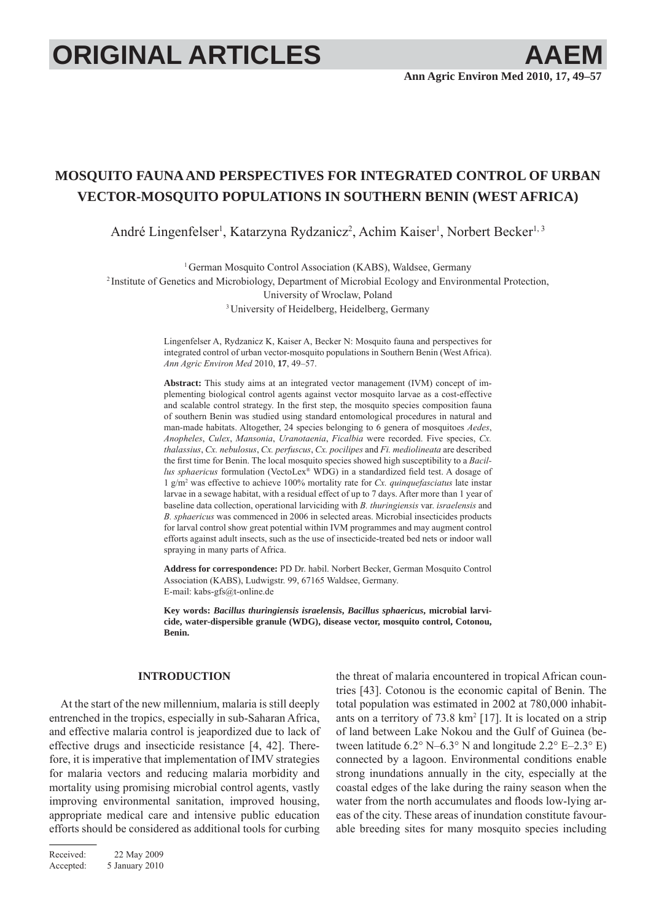# **ORIGINAL ARTICLES AAEM**

# **MOSQUITO FAUNA AND PERSPECTIVES FOR INTEGRATED CONTROL OF URBAN VECTOR-MOSQUITO POPULATIONS IN SOUTHERN BENIN (WEST AFRICA)**

André Lingenfelser<sup>1</sup>, Katarzyna Rydzanicz<sup>2</sup>, Achim Kaiser<sup>1</sup>, Norbert Becker<sup>1, 3</sup>

<sup>1</sup> German Mosquito Control Association (KABS), Waldsee, Germany 2 Institute of Genetics and Microbiology, Department of Microbial Ecology and Environmental Protection, University of Wroclaw, Poland 3 University of Heidelberg, Heidelberg, Germany

> Lingenfelser A, Rydzanicz K, Kaiser A, Becker N: Mosquito fauna and perspectives for integrated control of urban vector-mosquito populations in Southern Benin (West Africa). *Ann Agric Environ Med* 2010, **17**, 49–57.

> **Abstract:** This study aims at an integrated vector management (IVM) concept of implementing biological control agents against vector mosquito larvae as a cost-effective and scalable control strategy. In the first step, the mosquito species composition fauna of southern Benin was studied using standard entomological procedures in natural and man-made habitats. Altogether, 24 species belonging to 6 genera of mosquitoes *Aedes*, *Anopheles*, *Culex*, *Mansonia*, *Uranotaenia*, *Ficalbia* were recorded. Five species, *Cx. thalassius*, *Cx. nebulosus*, *Cx. perfuscus*, *Cx. pocilipes* and *Fi. mediolineata* are described the first time for Benin. The local mosquito species showed high susceptibility to a *Bacillus sphaericus* formulation (VectoLex® WDG) in a standardized field test. A dosage of 1 g/m2 was effective to achieve 100% mortality rate for *Cx. quinquefasciatus* late instar larvae in a sewage habitat, with a residual effect of up to 7 days. After more than 1 year of baseline data collection, operational larviciding with *B. thuringiensis* var. *israelensis* and *B. sphaericus* was commenced in 2006 in selected areas. Microbial insecticides products for larval control show great potential within IVM programmes and may augment control efforts against adult insects, such as the use of insecticide-treated bed nets or indoor wall spraying in many parts of Africa.

> **Address for correspondence:** PD Dr. habil. Norbert Becker, German Mosquito Control Association (KABS), Ludwigstr. 99, 67165 Waldsee, Germany. E-mail: kabs-gfs@t-online.de

> **Key words:** *Bacillus thuringiensis israelensis***,** *Bacillus sphaericus***, microbial larvicide, water-dispersible granule (WDG), disease vector, mosquito control, Cotonou, Benin.**

# **INTRODUCTION**

At the start of the new millennium, malaria is still deeply entrenched in the tropics, especially in sub-Saharan Africa, and effective malaria control is jeapordized due to lack of effective drugs and insecticide resistance [4, 42]. Therefore, it is imperative that implementation of IMV strategies for malaria vectors and reducing malaria morbidity and mortality using promising microbial control agents, vastly improving environmental sanitation, improved housing, appropriate medical care and intensive public education efforts should be considered as additional tools for curbing

the threat of malaria encountered in tropical African countries [43]. Cotonou is the economic capital of Benin. The total population was estimated in 2002 at 780,000 inhabitants on a territory of  $73.8 \text{ km}^2$  [17]. It is located on a strip of land between Lake Nokou and the Gulf of Guinea (between latitude  $6.2^{\circ}$  N– $6.3^{\circ}$  N and longitude  $2.2^{\circ}$  E– $2.3^{\circ}$  E) connected by a lagoon. Environmental conditions enable strong inundations annually in the city, especially at the coastal edges of the lake during the rainy season when the water from the north accumulates and floods low-lying areas of the city. These areas of inundation constitute favourable breeding sites for many mosquito species including

Received: 22 May 2009 Accepted: 5 January 2010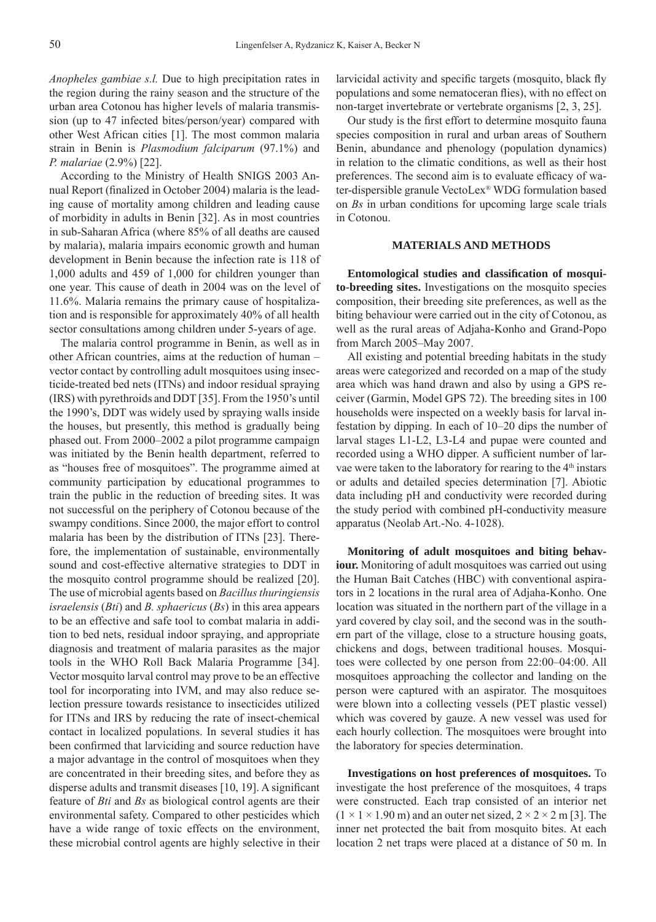*Anopheles gambiae s.l.* Due to high precipitation rates in the region during the rainy season and the structure of the urban area Cotonou has higher levels of malaria transmission (up to 47 infected bites/person/year) compared with other West African cities [1]. The most common malaria strain in Benin is *Plasmodium falciparum* (97.1%) and *P. malariae* (2.9%) [22].

According to the Ministry of Health SNIGS 2003 Annual Report (finalized in October 2004) malaria is the leading cause of mortality among children and leading cause of morbidity in adults in Benin [32]. As in most countries in sub-Saharan Africa (where 85% of all deaths are caused by malaria), malaria impairs economic growth and human development in Benin because the infection rate is 118 of 1,000 adults and 459 of 1,000 for children younger than one year. This cause of death in 2004 was on the level of 11.6%. Malaria remains the primary cause of hospitalization and is responsible for approximately 40% of all health sector consultations among children under 5-years of age.

The malaria control programme in Benin, as well as in other African countries, aims at the reduction of human – vector contact by controlling adult mosquitoes using insecticide-treated bed nets (ITNs) and indoor residual spraying (IRS) with pyrethroids and DDT [35]. From the 1950's until the 1990's, DDT was widely used by spraying walls inside the houses, but presently, this method is gradually being phased out. From 2000–2002 a pilot programme campaign was initiated by the Benin health department, referred to as "houses free of mosquitoes". The programme aimed at community participation by educational programmes to train the public in the reduction of breeding sites. It was not successful on the periphery of Cotonou because of the swampy conditions. Since 2000, the major effort to control malaria has been by the distribution of ITNs [23]. Therefore, the implementation of sustainable, environmentally sound and cost-effective alternative strategies to DDT in the mosquito control programme should be realized [20]. The use of microbial agents based on *Bacillus thuringiensis israelensis* (*Bti*) and *B. sphaericus* (*Bs*) in this area appears to be an effective and safe tool to combat malaria in addition to bed nets, residual indoor spraying, and appropriate diagnosis and treatment of malaria parasites as the major tools in the WHO Roll Back Malaria Programme [34]. Vector mosquito larval control may prove to be an effective tool for incorporating into IVM, and may also reduce selection pressure towards resistance to insecticides utilized for ITNs and IRS by reducing the rate of insect-chemical contact in localized populations. In several studies it has been confirmed that larviciding and source reduction have a major advantage in the control of mosquitoes when they are concentrated in their breeding sites, and before they as disperse adults and transmit diseases  $[10, 19]$ . A significant feature of *Bti* and *Bs* as biological control agents are their environmental safety. Compared to other pesticides which have a wide range of toxic effects on the environment, these microbial control agents are highly selective in their

larvicidal activity and specific targets (mosquito, black fly populations and some nematoceran flies), with no effect on non-target invertebrate or vertebrate organisms [2, 3, 25].

Our study is the first effort to determine mosquito fauna species composition in rural and urban areas of Southern Benin, abundance and phenology (population dynamics) in relation to the climatic conditions, as well as their host preferences. The second aim is to evaluate efficacy of water-dispersible granule VectoLex® WDG formulation based on *Bs* in urban conditions for upcoming large scale trials in Cotonou.

## **MATERIALS AND METHODS**

Entomological studies and classification of mosqui**to-breeding sites.** Investigations on the mosquito species composition, their breeding site preferences, as well as the biting behaviour were carried out in the city of Cotonou, as well as the rural areas of Adjaha-Konho and Grand-Popo from March 2005–May 2007.

All existing and potential breeding habitats in the study areas were categorized and recorded on a map of the study area which was hand drawn and also by using a GPS receiver (Garmin, Model GPS 72). The breeding sites in 100 households were inspected on a weekly basis for larval infestation by dipping. In each of 10–20 dips the number of larval stages L1-L2, L3-L4 and pupae were counted and recorded using a WHO dipper. A sufficient number of larvae were taken to the laboratory for rearing to the  $4<sup>th</sup>$  instars or adults and detailed species determination [7]. Abiotic data including pH and conductivity were recorded during the study period with combined pH-conductivity measure apparatus (Neolab Art.-No. 4-1028).

**Monitoring of adult mosquitoes and biting behaviour.** Monitoring of adult mosquitoes was carried out using the Human Bait Catches (HBC) with conventional aspirators in 2 locations in the rural area of Adjaha-Konho. One location was situated in the northern part of the village in a yard covered by clay soil, and the second was in the southern part of the village, close to a structure housing goats, chickens and dogs, between traditional houses. Mosquitoes were collected by one person from 22:00–04:00. All mosquitoes approaching the collector and landing on the person were captured with an aspirator. The mosquitoes were blown into a collecting vessels (PET plastic vessel) which was covered by gauze. A new vessel was used for each hourly collection. The mosquitoes were brought into the laboratory for species determination.

**Investigations on host preferences of mosquitoes.** To investigate the host preference of the mosquitoes, 4 traps were constructed. Each trap consisted of an interior net  $(1 \times 1 \times 1.90 \text{ m})$  and an outer net sized,  $2 \times 2 \times 2 \text{ m}$  [3]. The inner net protected the bait from mosquito bites. At each location 2 net traps were placed at a distance of 50 m. In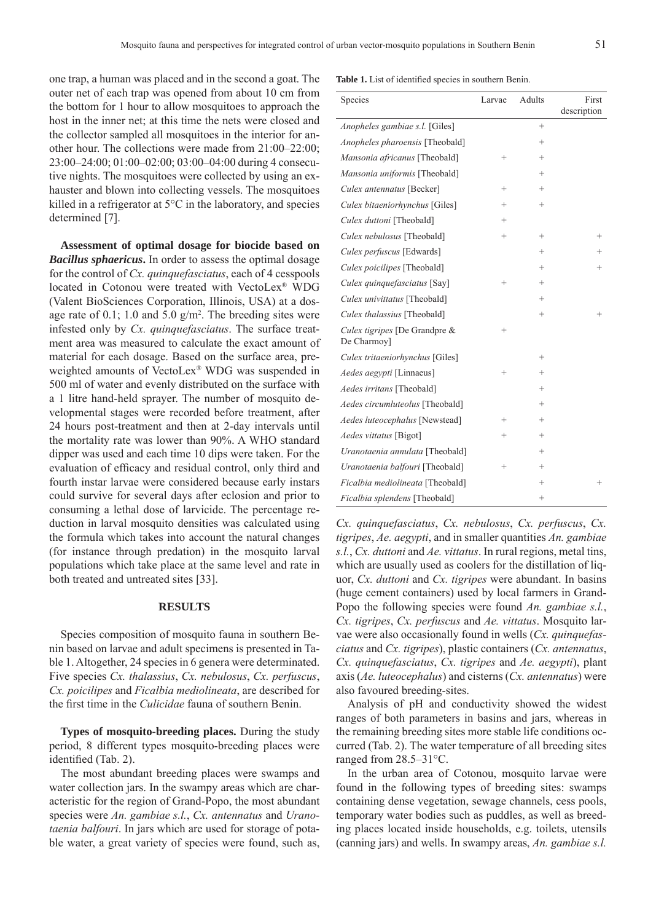one trap, a human was placed and in the second a goat. The outer net of each trap was opened from about 10 cm from the bottom for 1 hour to allow mosquitoes to approach the host in the inner net; at this time the nets were closed and the collector sampled all mosquitoes in the interior for another hour. The collections were made from 21:00–22:00; 23:00–24:00; 01:00–02:00; 03:00–04:00 during 4 consecutive nights. The mosquitoes were collected by using an exhauster and blown into collecting vessels. The mosquitoes killed in a refrigerator at 5°C in the laboratory, and species determined [7].

**Assessment of optimal dosage for biocide based on**  *Bacillus sphaericus***.** In order to assess the optimal dosage for the control of *Cx. quinquefasciatus*, each of 4 cesspools located in Cotonou were treated with VectoLex® WDG (Valent BioSciences Corporation, Illinois, USA) at a dosage rate of 0.1; 1.0 and 5.0  $g/m^2$ . The breeding sites were infested only by *Cx. quinquefasciatus*. The surface treatment area was measured to calculate the exact amount of material for each dosage. Based on the surface area, preweighted amounts of VectoLex® WDG was suspended in 500 ml of water and evenly distributed on the surface with a 1 litre hand-held sprayer. The number of mosquito developmental stages were recorded before treatment, after 24 hours post-treatment and then at 2-day intervals until the mortality rate was lower than 90%. A WHO standard dipper was used and each time 10 dips were taken. For the evaluation of efficacy and residual control, only third and fourth instar larvae were considered because early instars could survive for several days after eclosion and prior to consuming a lethal dose of larvicide. The percentage reduction in larval mosquito densities was calculated using the formula which takes into account the natural changes (for instance through predation) in the mosquito larval populations which take place at the same level and rate in both treated and untreated sites [33].

# **RESULTS**

Species composition of mosquito fauna in southern Benin based on larvae and adult specimens is presented in Table 1. Altogether, 24 species in 6 genera were determinated. Five species *Cx. thalassius*, *Cx. nebulosus*, *Cx. perfuscus*, *Cx. poicilipes* and *Ficalbia mediolineata*, are described for the first time in the *Culicidae* fauna of southern Benin.

**Types of mosquito-breeding places.** During the study period, 8 different types mosquito-breeding places were identified (Tab. 2).

The most abundant breeding places were swamps and water collection jars. In the swampy areas which are characteristic for the region of Grand-Popo, the most abundant species were *An. gambiae s.l.*, *Cx. antennatus* and *Uranotaenia balfouri*. In jars which are used for storage of potable water, a great variety of species were found, such as,

Table 1. List of identified species in southern Benin.

| Species                                      | Larvae | Adults             | First       |
|----------------------------------------------|--------|--------------------|-------------|
|                                              |        |                    | description |
| Anopheles gambiae s.l. [Giles]               |        | $^{+}$             |             |
| Anopheles pharoensis [Theobald]              |        | $^+$               |             |
| Mansonia africanus [Theobald]                | $^{+}$ | $\overline{+}$     |             |
| Mansonia uniformis [Theobald]                |        | $\overline{+}$     |             |
| Culex antennatus [Becker]                    | $^{+}$ | $^+$               |             |
| Culex bitaeniorhynchus [Giles]               | $^{+}$ | $^{+}$             |             |
| Culex duttoni [Theobald]                     | $^{+}$ |                    |             |
| Culex nebulosus [Theobald]                   | $^{+}$ | $^{+}$             | $^{+}$      |
| Culex perfuscus [Edwards]                    |        | $^+$               | $^+$        |
| Culex poicilipes [Theobald]                  |        | $\overline{+}$     | $^{+}$      |
| Culex quinquefasciatus [Say]                 | $^{+}$ | $\overline{+}$     |             |
| Culex univittatus [Theobald]                 |        | $\overline{+}$     |             |
| Culex thalassius [Theobald]                  |        | $^{+}$             | $^{+}$      |
| Culex tigripes [De Grandpre &<br>De Charmoy] | $^{+}$ |                    |             |
| Culex tritaeniorhynchus [Giles]              |        | $\hspace{0.1mm} +$ |             |
| Aedes aegypti [Linnaeus]                     | $^{+}$ | $\pm$              |             |
| Aedes irritans [Theobald]                    |        | $\hspace{0.1mm} +$ |             |
| Aedes circumluteolus [Theobald]              |        | $\pm$              |             |
| Aedes luteocephalus [Newstead]               | $^{+}$ | $\pm$              |             |
| Aedes vittatus [Bigot]                       | $^{+}$ | $\hspace{0.1mm} +$ |             |
| Uranotaenia annulata [Theobald]              |        | $^{+}$             |             |
| Uranotaenia balfouri [Theobald]              | $^{+}$ | $\overline{+}$     |             |
| Ficalbia mediolineata [Theobald]             |        | $\pm$              | $^{+}$      |
| Ficalbia splendens [Theobald]                |        | $\hspace{0.1mm} +$ |             |

*Cx. quinquefasciatus*, *Cx. nebulosus*, *Cx. perfuscus*, *Cx. tigripes*, *Ae. aegypti*, and in smaller quantities *An. gambiae s.l.*, *Cx. duttoni* and *Ae. vittatus*. In rural regions, metal tins, which are usually used as coolers for the distillation of liquor, *Cx. duttoni* and *Cx. tigripes* were abundant. In basins (huge cement containers) used by local farmers in Grand-Popo the following species were found *An. gambiae s.l.*, *Cx. tigripes*, *Cx. perfuscus* and *Ae. vittatus*. Mosquito larvae were also occasionally found in wells (*Cx. quinquefasciatus* and *Cx. tigripes*), plastic containers (*Cx. antennatus*, *Cx. quinquefasciatus*, *Cx. tigripes* and *Ae. aegypti*), plant axis (*Ae. luteocephalus*) and cisterns (*Cx. antennatus*) were also favoured breeding-sites.

Analysis of pH and conductivity showed the widest ranges of both parameters in basins and jars, whereas in the remaining breeding sites more stable life conditions occurred (Tab. 2). The water temperature of all breeding sites ranged from 28.5–31°C.

In the urban area of Cotonou, mosquito larvae were found in the following types of breeding sites: swamps containing dense vegetation, sewage channels, cess pools, temporary water bodies such as puddles, as well as breeding places located inside households, e.g. toilets, utensils (canning jars) and wells. In swampy areas, *An. gambiae s.l.*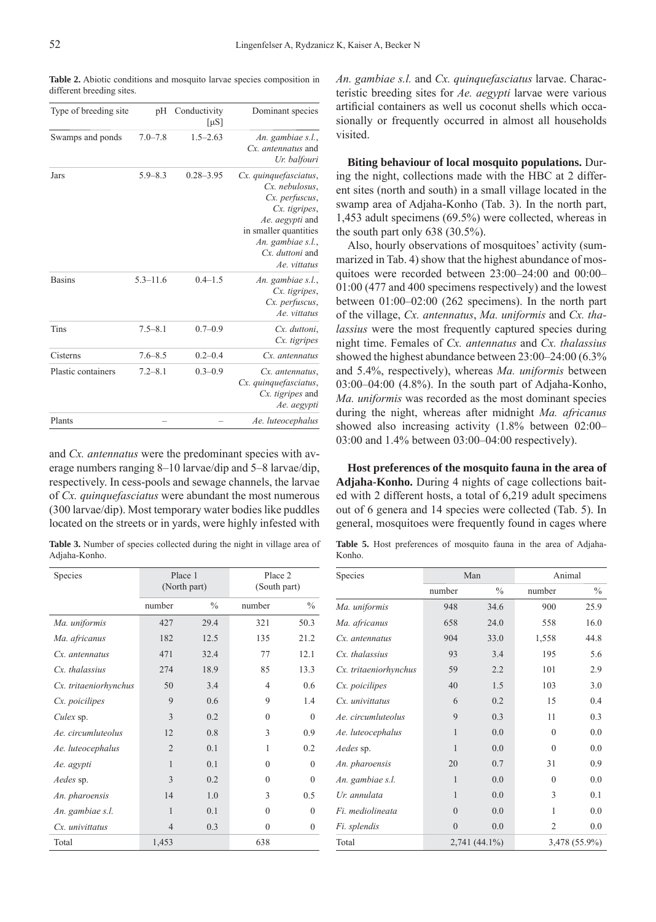**Table 2.** Abiotic conditions and mosquito larvae species composition in different breeding sites.

| Conductivity<br>Type of breeding site.<br>pH<br>$\lceil \mu S \rceil$<br>$1.5 - 2.63$<br>$7.0 - 7.8$<br>Swamps and ponds<br>$5.9 - 8.3$<br>$0.28 - 3.95$<br>Jars<br><b>Basins</b><br>$5.3 - 11.6$<br>$0.4 - 1.5$<br>Tins<br>$7.5 - 8.1$<br>$0.7 - 0.9$<br>$7.6 - 8.5$<br>$0.2 - 0.4$<br>Cisterns<br>Plastic containers<br>$0.3 - 0.9$<br>$7.2 - 8.1$<br>Plants |  |                                                                                                                                                                                |
|----------------------------------------------------------------------------------------------------------------------------------------------------------------------------------------------------------------------------------------------------------------------------------------------------------------------------------------------------------------|--|--------------------------------------------------------------------------------------------------------------------------------------------------------------------------------|
|                                                                                                                                                                                                                                                                                                                                                                |  | Dominant species                                                                                                                                                               |
|                                                                                                                                                                                                                                                                                                                                                                |  | An. gambiae s.l.,<br>Cx. antennatus and<br>Ur. balfouri                                                                                                                        |
|                                                                                                                                                                                                                                                                                                                                                                |  | Cx. quinquefasciatus,<br>Cx. nebulosus.<br>Cx. perfuscus,<br>Cx. tigripes,<br>Ae. aegypti and<br>in smaller quantities<br>An. gambiae s.l.,<br>Cx. duttoni and<br>Ae. vittatus |
|                                                                                                                                                                                                                                                                                                                                                                |  | An. gambiae s.l.,<br>Cx. tigripes,<br>Cx. perfuscus,<br>Ae. vittatus                                                                                                           |
|                                                                                                                                                                                                                                                                                                                                                                |  | Cx. duttoni,<br>Cx. tigripes                                                                                                                                                   |
|                                                                                                                                                                                                                                                                                                                                                                |  | Cx. antennatus                                                                                                                                                                 |
|                                                                                                                                                                                                                                                                                                                                                                |  | Cx. antennatus,<br>Cx. quinquefasciatus,<br>Cx. <i>tigripes</i> and<br>Ae. aegypti                                                                                             |
|                                                                                                                                                                                                                                                                                                                                                                |  | Ae. luteocephalus                                                                                                                                                              |

and *Cx. antennatus* were the predominant species with average numbers ranging 8–10 larvae/dip and 5–8 larvae/dip, respectively. In cess-pools and sewage channels, the larvae of *Cx. quinquefasciatus* were abundant the most numerous (300 larvae/dip). Most temporary water bodies like puddles located on the streets or in yards, were highly infested with

**Table 3.** Number of species collected during the night in village area of Adjaha-Konho.

| Species                | Place 1<br>(North part) |               | Place 2<br>(South part) |               |  |
|------------------------|-------------------------|---------------|-------------------------|---------------|--|
|                        | number                  | $\frac{0}{0}$ | number                  | $\frac{0}{0}$ |  |
| Ma. uniformis          | 427                     | 29.4          | 321                     | 50.3          |  |
| Ma. africanus          | 182                     | 12.5          | 135                     | 21.2          |  |
| Cx. antennatus         | 471                     | 32.4          | 77                      | 12.1          |  |
| Cx. thalassius         | 274                     | 18.9          | 85                      | 13.3          |  |
| Cx. tritaeniorhynchus  | 50                      | 3.4           | $\overline{4}$          | 0.6           |  |
| Cx. poicilipes         | 9                       | 0.6           | 9                       | 1.4           |  |
| Culex sp.              | 3                       | 0.2           | $\theta$                | $\theta$      |  |
| Ae. circumluteolus     | 12                      | 0.8           | 3                       | 0.9           |  |
| Ae. luteocephalus      | $\overline{2}$          | 0.1           | 1                       | 0.2           |  |
| Ae. agypti             | 1                       | 0.1           | $\theta$                | $\theta$      |  |
| Aedes sp.              | 3                       | 0.2           | $\theta$                | $\theta$      |  |
| An. pharoensis         | 14                      | 1.0           | 3                       | 0.5           |  |
| An. gambiae s.l.       | $\mathbf{1}$            | 0.1           | $\theta$                | $\theta$      |  |
| Cx. <i>univittatus</i> | 4                       | 0.3           | $\theta$                | 0             |  |
| Total                  | 1,453                   |               | 638                     |               |  |

*An. gambiae s.l.* and *Cx. quinquefasciatus* larvae. Characteristic breeding sites for *Ae. aegypti* larvae were various artificial containers as well us coconut shells which occasionally or frequently occurred in almost all households visited.

**Biting behaviour of local mosquito populations.** During the night, collections made with the HBC at 2 different sites (north and south) in a small village located in the swamp area of Adjaha-Konho (Tab. 3). In the north part, 1,453 adult specimens (69.5%) were collected, whereas in the south part only 638 (30.5%).

Also, hourly observations of mosquitoes' activity (summarized in Tab. 4) show that the highest abundance of mosquitoes were recorded between 23:00–24:00 and 00:00– 01:00 (477 and 400 specimens respectively) and the lowest between 01:00–02:00 (262 specimens). In the north part of the village, *Cx. antennatus*, *Ma. uniformis* and *Cx. thalassius* were the most frequently captured species during night time. Females of *Cx. antennatus* and *Cx. thalassius* showed the highest abundance between 23:00–24:00 (6.3% and 5.4%, respectively), whereas *Ma. uniformis* between 03:00–04:00 (4.8%). In the south part of Adjaha-Konho, *Ma. uniformis* was recorded as the most dominant species during the night, whereas after midnight *Ma. africanus* showed also increasing activity (1.8% between 02:00– 03:00 and 1.4% between 03:00–04:00 respectively).

**Host preferences of the mosquito fauna in the area of Adjaha-Konho.** During 4 nights of cage collections baited with 2 different hosts, a total of 6,219 adult specimens out of 6 genera and 14 species were collected (Tab. 5). In general, mosquitoes were frequently found in cages where

**Table 5.** Host preferences of mosquito fauna in the area of Adjaha-Konho.

| Species                |              | Man             | Animal         |               |  |
|------------------------|--------------|-----------------|----------------|---------------|--|
|                        | number       | $\%$            | number         | $\frac{0}{0}$ |  |
| Ma. uniformis          | 948          | 34.6            | 900            | 25.9          |  |
| Ma. africanus          | 658          | 24.0            | 558            | 16.0          |  |
| Cx. antennatus         | 904          | 33.0            | 1,558          | 44.8          |  |
| Cx. thalassius         | 93           | 3.4             | 195            | 5.6           |  |
| Cx. tritaeniorhynchus  | 59           | 2.2             | 101            | 2.9           |  |
| Cx. poicilipes         | 40           | 1.5             | 103            | 3.0           |  |
| Cx. <i>univittatus</i> | 6            | 0.2             | 15             | 0.4           |  |
| Ae. circumluteolus     | 9            | 0.3             | 11             | 0.3           |  |
| Ae. luteocephalus      | 1            | 0.0             | $\mathbf{0}$   | 0.0           |  |
| Aedes sp.              | $\mathbf{1}$ | 0.0             | $\mathbf{0}$   | 0.0           |  |
| An. pharoensis         | 20           | 0.7             | 31             | 0.9           |  |
| An. gambiae s.l.       | 1            | 0.0             | $\theta$       | 0.0           |  |
| Ur. annulata           | $\mathbf{1}$ | 0.0             | 3              | 0.1           |  |
| Fi. mediolineata       | $\theta$     | 0.0             | 1              | 0.0           |  |
| Fi. splendis           | $\theta$     | 0.0             | $\overline{2}$ | 0.0           |  |
| Total                  |              | $2,741(44.1\%)$ |                | 3,478 (55.9%) |  |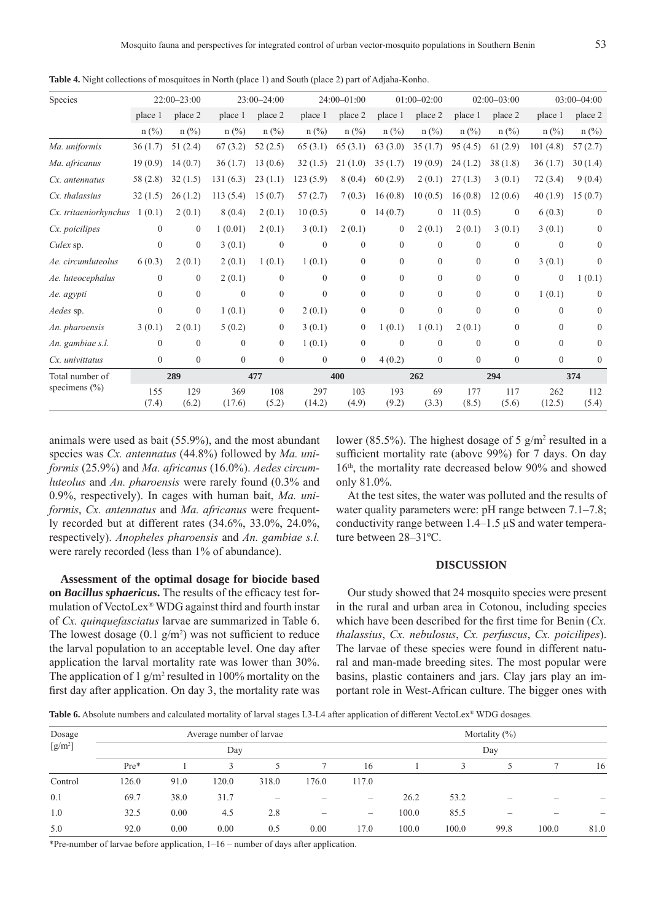| Species                |                  | 22:00-23:00      |                  | 23:00-24:00    |              | 24:00-01:00      |                  | $01:00 - 02:00$  |              | $02:00 - 03:00$ |              | $03:00 - 04:00$ |
|------------------------|------------------|------------------|------------------|----------------|--------------|------------------|------------------|------------------|--------------|-----------------|--------------|-----------------|
|                        | place 1          | place 2          | place 1          | place 2        | place 1      | place 2          | place 1          | place 2          | place 1      | place 2         | place 1      | place 2         |
|                        | $n$ (%)          | $n$ (%)          | $n$ (%)          | $n$ (%)        | $n$ (%)      | $n$ (%)          | $n$ (%)          | $n$ (%)          | $n$ (%)      | $n$ (%)         | $n$ (%)      | $n$ (%)         |
| Ma. uniformis          | 36(1.7)          | 51(2.4)          | 67(3.2)          | 52(2.5)        | 65(3.1)      | 65(3.1)          | 63(3.0)          | 35(1.7)          | 95(4.5)      | 61(2.9)         | 101(4.8)     | 57(2.7)         |
| Ma. africanus          | 19(0.9)          | 14(0.7)          | 36(1.7)          | 13(0.6)        | 32(1.5)      | 21(1.0)          | 35(1.7)          | 19(0.9)          | 24(1.2)      | 38(1.8)         | 36(1.7)      | 30(1.4)         |
| Cx. antennatus         | 58 (2.8)         | 32(1.5)          | 131(6.3)         | 23(1.1)        | 123(5.9)     | 8(0.4)           | 60(2.9)          | 2(0.1)           | 27(1.3)      | 3(0.1)          | 72(3.4)      | 9(0.4)          |
| Cx. thalassius         | 32(1.5)          | 26(1.2)          | 113(5.4)         | 15(0.7)        | 57(2.7)      | 7(0.3)           | 16(0.8)          | 10(0.5)          | 16(0.8)      | 12(0.6)         | 40(1.9)      | 15(0.7)         |
| Cx. tritaeniorhynchus  | 1(0.1)           | 2(0.1)           | 8(0.4)           | 2(0.1)         | 10(0.5)      | $\mathbf{0}$     | 14(0.7)          | $\overline{0}$   | 11(0.5)      | $\mathbf{0}$    | 6(0.3)       | $\Omega$        |
| Cx. poicilipes         | $\Omega$         | $\overline{0}$   | 1(0.01)          | 2(0.1)         | 3(0.1)       | 2(0.1)           | $\boldsymbol{0}$ | 2(0.1)           | 2(0.1)       | 3(0.1)          | 3(0.1)       | $\theta$        |
| Culex sp.              | $\theta$         | $\overline{0}$   | 3(0.1)           | $\mathbf{0}$   | $\theta$     | $\boldsymbol{0}$ | $\mathbf{0}$     | $\Omega$         | $\Omega$     | $\theta$        | $\theta$     | $\theta$        |
| Ae. circumluteolus     | 6(0.3)           | 2(0.1)           | 2(0.1)           | 1(0.1)         | 1(0.1)       | $\boldsymbol{0}$ | $\mathbf{0}$     | $\overline{0}$   | $\Omega$     | $\mathbf{0}$    | 3(0.1)       | $\theta$        |
| Ae. luteocephalus      | $\Omega$         | $\overline{0}$   | 2(0.1)           | $\mathbf{0}$   | $\theta$     | $\mathbf{0}$     | $\theta$         | $\theta$         | $\Omega$     | $\theta$        | $\mathbf{0}$ | 1(0.1)          |
| Ae. agypti             | $\mathbf{0}$     | $\boldsymbol{0}$ | $\boldsymbol{0}$ | $\mathbf{0}$   | $\theta$     | $\boldsymbol{0}$ | $\mathbf{0}$     | $\theta$         | $\mathbf{0}$ | $\mathbf{0}$    | 1(0.1)       | $\theta$        |
| Aedes sp.              | $\boldsymbol{0}$ | $\boldsymbol{0}$ | 1(0.1)           | $\overline{0}$ | 2(0.1)       | $\boldsymbol{0}$ | $\mathbf{0}$     | $\boldsymbol{0}$ | $\Omega$     | $\theta$        | $\Omega$     | $\Omega$        |
| An. pharoensis         | 3(0.1)           | 2(0.1)           | 5(0.2)           | $\overline{0}$ | 3(0.1)       | $\mathbf{0}$     | (0.1)            | 1(0.1)           | 2(0.1)       | $\Omega$        | $\Omega$     | $\Omega$        |
| An. gambiae s.l.       | $\Omega$         | $\mathbf{0}$     | $\mathbf{0}$     | $\overline{0}$ | 1(0.1)       | $\boldsymbol{0}$ | $\Omega$         | $\Omega$         | $\Omega$     | $\Omega$        | $\Omega$     | $\Omega$        |
| Cx. <i>univittatus</i> | $\theta$         | $\overline{0}$   | $\overline{0}$   | $\mathbf{0}$   | $\mathbf{0}$ | $\boldsymbol{0}$ | 4(0.2)           | $\mathbf{0}$     | $\theta$     | $\theta$        | $\theta$     | $\mathbf{0}$    |
| Total number of        |                  | 289              | 477              |                | 400          |                  | 262              |                  | 294          |                 | 374          |                 |
| specimens $(\% )$      | 155              | 129              | 369              | 108            | 297          | 103              | 193              | 69               | 177          | 117             | 262          | 112             |
|                        | (7.4)            | (6.2)            | (17.6)           | (5.2)          | (14.2)       | (4.9)            | (9.2)            | (3.3)            | (8.5)        | (5.6)           | (12.5)       | (5.4)           |

**Table 4.** Night collections of mosquitoes in North (place 1) and South (place 2) part of Adjaha-Konho.

animals were used as bait (55.9%), and the most abundant species was *Cx. antennatus* (44.8%) followed by *Ma. uniformis* (25.9%) and *Ma. africanus* (16.0%). *Aedes circumluteolus* and *An. pharoensis* were rarely found (0.3% and 0.9%, respectively). In cages with human bait, *Ma. uniformis*, *Cx. antennatus* and *Ma. africanus* were frequently recorded but at different rates (34.6%, 33.0%, 24.0%, respectively). *Anopheles pharoensis* and *An. gambiae s.l.*  were rarely recorded (less than 1% of abundance).

**Assessment of the optimal dosage for biocide based on Bacillus sphaericus.** The results of the efficacy test formulation of VectoLex® WDG against third and fourth instar of *Cx. quinquefasciatus* larvae are summarized in Table 6. The lowest dosage  $(0.1 \text{ g/m}^2)$  was not sufficient to reduce the larval population to an acceptable level. One day after application the larval mortality rate was lower than 30%. The application of 1  $g/m^2$  resulted in 100% mortality on the first day after application. On day 3, the mortality rate was

lower (85.5%). The highest dosage of 5  $g/m^2$  resulted in a sufficient mortality rate (above 99%) for 7 days. On day 16<sup>th</sup>, the mortality rate decreased below 90% and showed only 81.0%.

At the test sites, the water was polluted and the results of water quality parameters were: pH range between 7.1–7.8; conductivity range between 1.4–1.5 μS and water temperature between 28–31ºC.

#### **DISCUSSION**

Our study showed that 24 mosquito species were present in the rural and urban area in Cotonou, including species which have been described for the first time for Benin (*Cx*. *thalassius*, *Cx. nebulosus*, *Cx. perfuscus*, *Cx. poicilipes*). The larvae of these species were found in different natural and man-made breeding sites. The most popular were basins, plastic containers and jars. Clay jars play an important role in West-African culture. The bigger ones with

Table 6. Absolute numbers and calculated mortality of larval stages L3-L4 after application of different VectoLex<sup>®</sup> WDG dosages.

| Dosage    |       |      | Average number of larvae |                                                                           |       |                          |       |       | Mortality $(\% )$ |       |      |
|-----------|-------|------|--------------------------|---------------------------------------------------------------------------|-------|--------------------------|-------|-------|-------------------|-------|------|
| $[g/m^2]$ |       |      | Day                      |                                                                           |       | Day                      |       |       |                   |       |      |
|           | Pre*  |      | 3                        | 5                                                                         |       | 16                       |       | 3     |                   |       | 16   |
| Control   | 126.0 | 91.0 | 120.0                    | 318.0                                                                     | 176.0 | 117.0                    |       |       |                   |       |      |
| 0.1       | 69.7  | 38.0 | 31.7                     | $\hspace{1.0cm} \rule{1.5cm}{0.15cm} \hspace{1.0cm} \rule{1.5cm}{0.15cm}$ |       | -                        | 26.2  | 53.2  |                   |       |      |
| 1.0       | 32.5  | 0.00 | 4.5                      | 2.8                                                                       | -     | $\overline{\phantom{0}}$ | 100.0 | 85.5  | -                 |       | -    |
| 5.0       | 92.0  | 0.00 | 0.00                     | 0.5                                                                       | 0.00  | 17.0                     | 100.0 | 100.0 | 99.8              | 100.0 | 81.0 |

\*Pre-number of larvae before application, 1–16 – number of days after application.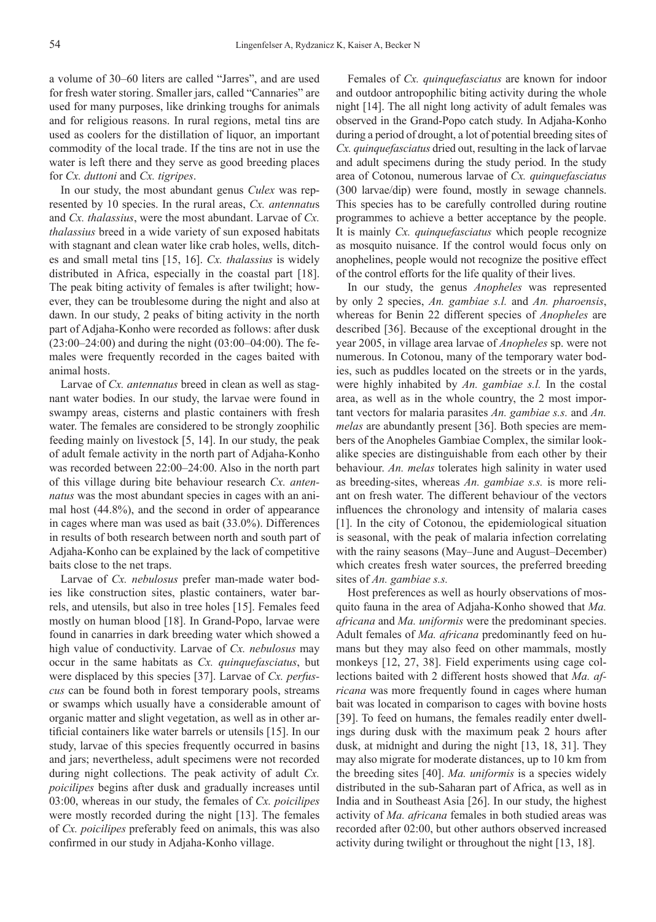a volume of 30–60 liters are called "Jarres", and are used for fresh water storing. Smaller jars, called "Cannaries" are used for many purposes, like drinking troughs for animals and for religious reasons. In rural regions, metal tins are used as coolers for the distillation of liquor, an important commodity of the local trade. If the tins are not in use the water is left there and they serve as good breeding places for *Cx. duttoni* and *Cx. tigripes*.

In our study, the most abundant genus *Culex* was represented by 10 species. In the rural areas, *Cx. antennatu*s and *Cx. thalassius*, were the most abundant. Larvae of *Cx. thalassius* breed in a wide variety of sun exposed habitats with stagnant and clean water like crab holes, wells, ditches and small metal tins [15, 16]. *Cx. thalassius* is widely distributed in Africa, especially in the coastal part [18]. The peak biting activity of females is after twilight; however, they can be troublesome during the night and also at dawn. In our study, 2 peaks of biting activity in the north part of Adjaha-Konho were recorded as follows: after dusk (23:00–24:00) and during the night (03:00–04:00). The females were frequently recorded in the cages baited with animal hosts.

Larvae of *Cx. antennatus* breed in clean as well as stagnant water bodies. In our study, the larvae were found in swampy areas, cisterns and plastic containers with fresh water. The females are considered to be strongly zoophilic feeding mainly on livestock [5, 14]. In our study, the peak of adult female activity in the north part of Adjaha-Konho was recorded between 22:00–24:00. Also in the north part of this village during bite behaviour research *Cx. antennatus* was the most abundant species in cages with an animal host (44.8%), and the second in order of appearance in cages where man was used as bait (33.0%). Differences in results of both research between north and south part of Adjaha-Konho can be explained by the lack of competitive baits close to the net traps.

Larvae of *Cx. nebulosus* prefer man-made water bodies like construction sites, plastic containers, water barrels, and utensils, but also in tree holes [15]. Females feed mostly on human blood [18]. In Grand-Popo, larvae were found in canarries in dark breeding water which showed a high value of conductivity. Larvae of *Cx. nebulosus* may occur in the same habitats as *Cx. quinquefasciatus*, but were displaced by this species [37]. Larvae of *Cx. perfuscus* can be found both in forest temporary pools, streams or swamps which usually have a considerable amount of organic matter and slight vegetation, as well as in other artificial containers like water barrels or utensils [15]. In our study, larvae of this species frequently occurred in basins and jars; nevertheless, adult specimens were not recorded during night collections. The peak activity of adult *Cx. poicilipes* begins after dusk and gradually increases until 03:00, whereas in our study, the females of *Cx. poicilipes* were mostly recorded during the night [13]. The females of *Cx. poicilipes* preferably feed on animals, this was also confirmed in our study in Adjaha-Konho village.

Females of *Cx. quinquefasciatus* are known for indoor and outdoor antropophilic biting activity during the whole night [14]. The all night long activity of adult females was observed in the Grand-Popo catch study. In Adjaha-Konho during a period of drought, a lot of potential breeding sites of *Cx. quinquefasciatus* dried out, resulting in the lack of larvae and adult specimens during the study period. In the study area of Cotonou, numerous larvae of *Cx. quinquefasciatus* (300 larvae/dip) were found, mostly in sewage channels. This species has to be carefully controlled during routine programmes to achieve a better acceptance by the people. It is mainly *Cx. quinquefasciatus* which people recognize as mosquito nuisance. If the control would focus only on anophelines, people would not recognize the positive effect of the control efforts for the life quality of their lives.

In our study, the genus *Anopheles* was represented by only 2 species, *An. gambiae s.l.* and *An. pharoensis*, whereas for Benin 22 different species of *Anopheles* are described [36]. Because of the exceptional drought in the year 2005, in village area larvae of *Anopheles* sp. were not numerous. In Cotonou, many of the temporary water bodies, such as puddles located on the streets or in the yards, were highly inhabited by *An. gambiae s.l.* In the costal area, as well as in the whole country, the 2 most important vectors for malaria parasites *An. gambiae s.s.* and *An. melas* are abundantly present [36]. Both species are members of the Anopheles Gambiae Complex, the similar lookalike species are distinguishable from each other by their behaviour. *An. melas* tolerates high salinity in water used as breeding-sites, whereas *An. gambiae s.s.* is more reliant on fresh water. The different behaviour of the vectors influences the chronology and intensity of malaria cases [1]. In the city of Cotonou, the epidemiological situation is seasonal, with the peak of malaria infection correlating with the rainy seasons (May–June and August–December) which creates fresh water sources, the preferred breeding sites of *An. gambiae s.s.*

Host preferences as well as hourly observations of mosquito fauna in the area of Adjaha-Konho showed that *Ma. africana* and *Ma. uniformis* were the predominant species. Adult females of *Ma. africana* predominantly feed on humans but they may also feed on other mammals, mostly monkeys [12, 27, 38]. Field experiments using cage collections baited with 2 different hosts showed that *Ma. africana* was more frequently found in cages where human bait was located in comparison to cages with bovine hosts [39]. To feed on humans, the females readily enter dwellings during dusk with the maximum peak 2 hours after dusk, at midnight and during the night [13, 18, 31]. They may also migrate for moderate distances, up to 10 km from the breeding sites [40]. *Ma. uniformis* is a species widely distributed in the sub-Saharan part of Africa, as well as in India and in Southeast Asia [26]. In our study, the highest activity of *Ma. africana* females in both studied areas was recorded after 02:00, but other authors observed increased activity during twilight or throughout the night [13, 18].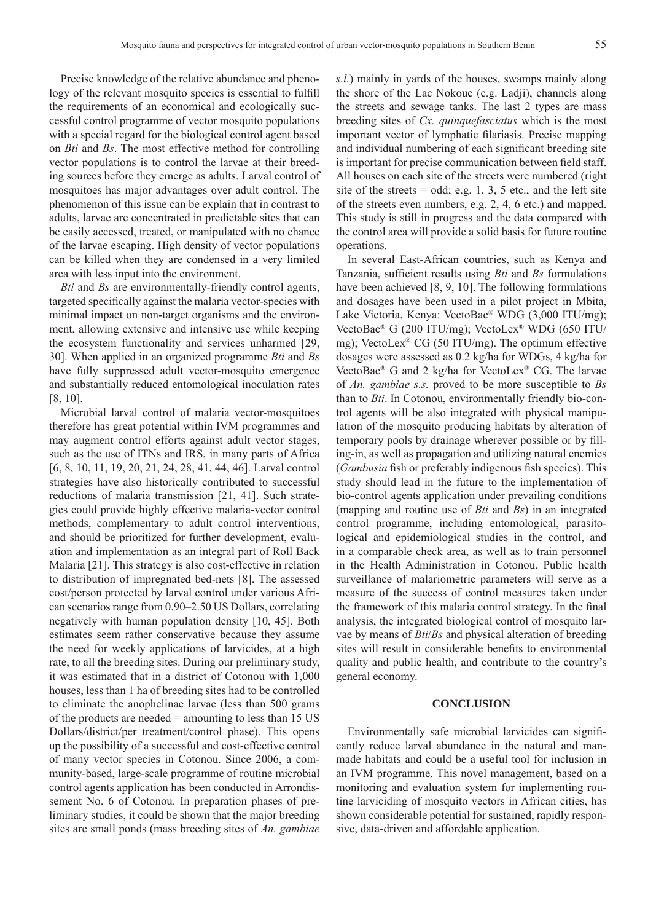Precise knowledge of the relative abundance and phenology of the relevant mosquito species is essential to fulfill the requirements of an economical and ecologically successful control programme of vector mosquito populations with a special regard for the biological control agent based on *Bti* and *Bs*. The most effective method for controlling vector populations is to control the larvae at their breeding sources before they emerge as adults. Larval control of mosquitoes has major advantages over adult control. The phenomenon of this issue can be explain that in contrast to adults, larvae are concentrated in predictable sites that can be easily accessed, treated, or manipulated with no chance of the larvae escaping. High density of vector populations can be killed when they are condensed in a very limited area with less input into the environment.

*Bti* and *Bs* are environmentally-friendly control agents, targeted specifically against the malaria vector-species with minimal impact on non-target organisms and the environment, allowing extensive and intensive use while keeping the ecosystem functionality and services unharmed [29, 30]. When applied in an organized programme *Bti* and *Bs* have fully suppressed adult vector-mosquito emergence and substantially reduced entomological inoculation rates [8, 10].

Microbial larval control of malaria vector-mosquitoes therefore has great potential within IVM programmes and may augment control efforts against adult vector stages, such as the use of ITNs and IRS, in many parts of Africa [6, 8, 10, 11, 19, 20, 21, 24, 28, 41, 44, 46]. Larval control strategies have also historically contributed to successful reductions of malaria transmission [21, 41]. Such strategies could provide highly effective malaria-vector control methods, complementary to adult control interventions, and should be prioritized for further development, evaluation and implementation as an integral part of Roll Back Malaria [21]. This strategy is also cost-effective in relation to distribution of impregnated bed-nets [8]. The assessed cost/person protected by larval control under various African scenarios range from 0.90–2.50 US Dollars, correlating negatively with human population density [10, 45]. Both estimates seem rather conservative because they assume the need for weekly applications of larvicides, at a high rate, to all the breeding sites. During our preliminary study, it was estimated that in a district of Cotonou with 1,000 houses, less than 1 ha of breeding sites had to be controlled to eliminate the anophelinae larvae (less than 500 grams of the products are needed = amounting to less than 15 US Dollars/district/per treatment/control phase). This opens up the possibility of a successful and cost-effective control of many vector species in Cotonou. Since 2006, a community-based, large-scale programme of routine microbial control agents application has been conducted in Arrondissement No. 6 of Cotonou. In preparation phases of preliminary studies, it could be shown that the major breeding sites are small ponds (mass breeding sites of *An. gambiae*

*s.l.*) mainly in yards of the houses, swamps mainly along the shore of the Lac Nokoue (e.g. Ladji), channels along the streets and sewage tanks. The last 2 types are mass breeding sites of *Cx. quinquefasciatus* which is the most important vector of lymphatic filariasis. Precise mapping and individual numbering of each significant breeding site is important for precise communication between field staff. All houses on each site of the streets were numbered (right site of the streets  $=$  odd; e.g. 1, 3, 5 etc., and the left site of the streets even numbers, e.g. 2, 4, 6 etc.) and mapped. This study is still in progress and the data compared with the control area will provide a solid basis for future routine operations.

In several East-African countries, such as Kenya and Tanzania, sufficient results using *Bti* and *Bs* formulations have been achieved [8, 9, 10]. The following formulations and dosages have been used in a pilot project in Mbita, Lake Victoria, Kenya: VectoBac® WDG (3,000 ITU/mg); VectoBac® G (200 ITU/mg); VectoLex® WDG (650 ITU/ mg); VectoLex® CG (50 ITU/mg). The optimum effective dosages were assessed as 0.2 kg/ha for WDGs, 4 kg/ha for VectoBac® G and 2 kg/ha for VectoLex® CG. The larvae of *An. gambiae s.s.* proved to be more susceptible to *Bs* than to *Bti*. In Cotonou, environmentally friendly bio-control agents will be also integrated with physical manipulation of the mosquito producing habitats by alteration of temporary pools by drainage wherever possible or by filling-in, as well as propagation and utilizing natural enemies (*Gambusia* fish or preferably indigenous fish species). This study should lead in the future to the implementation of bio-control agents application under prevailing conditions (mapping and routine use of *Bti* and *Bs*) in an integrated control programme, including entomological, parasitological and epidemiological studies in the control, and in a comparable check area, as well as to train personnel in the Health Administration in Cotonou. Public health surveillance of malariometric parameters will serve as a measure of the success of control measures taken under the framework of this malaria control strategy. In the final analysis, the integrated biological control of mosquito larvae by means of *Bti*/*Bs* and physical alteration of breeding sites will result in considerable benefits to environmental quality and public health, and contribute to the country's general economy.

## **CONCLUSION**

Environmentally safe microbial larvicides can significantly reduce larval abundance in the natural and manmade habitats and could be a useful tool for inclusion in an IVM programme. This novel management, based on a monitoring and evaluation system for implementing routine larviciding of mosquito vectors in African cities, has shown considerable potential for sustained, rapidly responsive, data-driven and affordable application.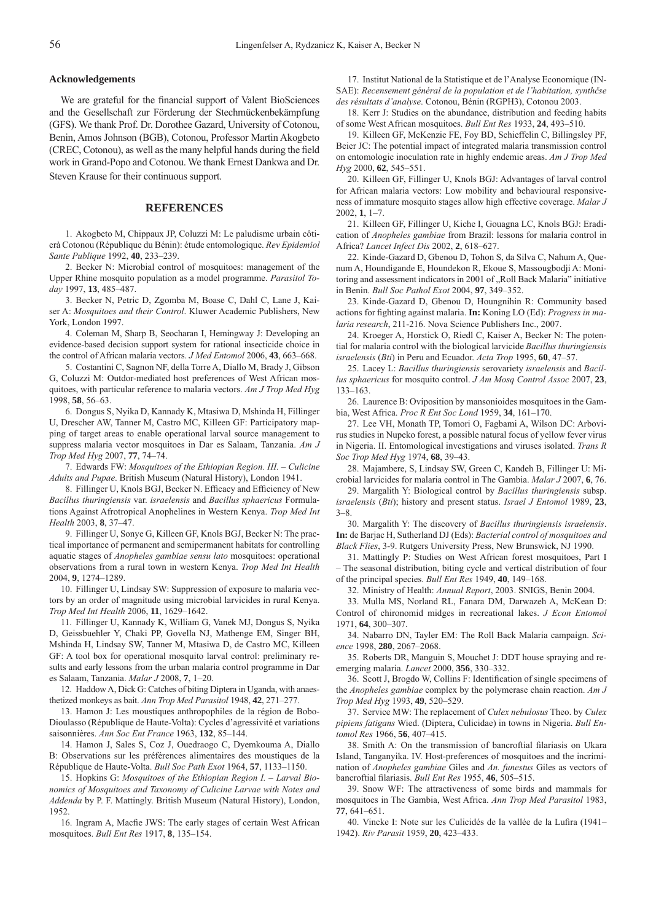#### **Acknowledgements**

We are grateful for the financial support of Valent BioSciences and the Gesellschaft zur Förderung der Stechmückenbekämpfung (GFS). We thank Prof. Dr. Dorothee Gazard, University of Cotonou, Benin, Amos Johnson (BGB), Cotonou, Professor Martin Akogbeto (CREC, Cotonou), as well as the many helpful hands during the field work in Grand-Popo and Cotonou. We thank Ernest Dankwa and Dr. Steven Krause for their continuous support.

#### **REFERENCES**

1. Akogbeto M, Chippaux JP, Coluzzi M: Le paludisme urbain côtierà Cotonou (République du Bénin): étude entomologique. *Rev Epidemiol Sante Publique* 1992, **40**, 233–239.

2. Becker N: Microbial control of mosquitoes: management of the Upper Rhine mosquito population as a model programme. *Parasitol Today* 1997, **13**, 485–487.

3. Becker N, Petric D, Zgomba M, Boase C, Dahl C, Lane J, Kaiser A: *Mosquitoes and their Control*. Kluwer Academic Publishers, New York, London 1997.

4. Coleman M, Sharp B, Seocharan I, Hemingway J: Developing an evidence-based decision support system for rational insecticide choice in the control of African malaria vectors. *J Med Entomol* 2006, **43**, 663–668.

5. Costantini C, Sagnon NF, della Torre A, Diallo M, Brady J, Gibson G, Coluzzi M: Outdor-mediated host preferences of West African mosquitoes, with particular reference to malaria vectors. *Am J Trop Med Hyg* 1998, **58**, 56–63.

6. Dongus S, Nyika D, Kannady K, Mtasiwa D, Mshinda H, Fillinger U, Drescher AW, Tanner M, Castro MC, Killeen GF: Participatory mapping of target areas to enable operational larval source management to suppress malaria vector mosquitoes in Dar es Salaam, Tanzania. *Am J Trop Med Hyg* 2007, **77**, 74–74.

7. Edwards FW: *Mosquitoes of the Ethiopian Region. III. – Culicine Adults and Pupae*. British Museum (Natural History), London 1941.

8. Fillinger U, Knols BGJ, Becker N. Efficacy and Efficiency of New *Bacillus thuringiensis* var. *israelensis* and *Bacillus sphaericus* Formulations Against Afrotropical Anophelines in Western Kenya. *Trop Med Int Health* 2003, **8**, 37–47.

9. Fillinger U, Sonye G, Killeen GF, Knols BGJ, Becker N: The practical importance of permanent and semipermanent habitats for controlling aquatic stages of *Anopheles gambiae sensu lato* mosquitoes: operational observations from a rural town in western Kenya. *Trop Med Int Health* 2004, **9**, 1274–1289.

10. Fillinger U, Lindsay SW: Suppression of exposure to malaria vectors by an order of magnitude using microbial larvicides in rural Kenya. *Trop Med Int Health* 2006, **11**, 1629–1642.

11. Fillinger U, Kannady K, William G, Vanek MJ, Dongus S, Nyika D, Geissbuehler Y, Chaki PP, Govella NJ, Mathenge EM, Singer BH, Mshinda H, Lindsay SW, Tanner M, Mtasiwa D, de Castro MC, Killeen GF: A tool box for operational mosquito larval control: preliminary results and early lessons from the urban malaria control programme in Dar es Salaam, Tanzania. *Malar J* 2008, **7**, 1–20.

12. Haddow A, Dick G: Catches of biting Diptera in Uganda, with anaesthetized monkeys as bait. *Ann Trop Med Parasitol* 1948, **42**, 271–277.

13. Hamon J: Les moustiques anthropophiles de la région de Bobo-Dioulasso (République de Haute-Volta): Cycles d'agressivité et variations saisonnières. *Ann Soc Ent France* 1963, **132**, 85–144.

14. Hamon J, Sales S, Coz J, Ouedraogo C, Dyemkouma A, Diallo B: Observations sur les préférences alimentaires des moustiques de la République de Haute-Volta. *Bull Soc Path Exot* 1964, **57**, 1133–1150.

15. Hopkins G: *Mosquitoes of the Ethiopian Region I. – Larval Bionomics of Mosquitoes and Taxonomy of Culicine Larvae with Notes and Addenda* by P. F. Mattingly. British Museum (Natural History), London, 1952.

16. Ingram A, Macfie JWS: The early stages of certain West African mosquitoes. *Bull Ent Res* 1917, **8**, 135–154.

17. Institut National de la Statistique et de l'Analyse Economique (IN-SAE): *Recensement général de la population et de l'habitation, synthčse des résultats d'analyse*. Cotonou, Bénin (RGPH3), Cotonou 2003.

18. Kerr J: Studies on the abundance, distribution and feeding habits of some West African mosquitoes. *Bull Ent Res* 1933, **24**, 493–510.

19. Killeen GF, McKenzie FE, Foy BD, Schieffelin C, Billingsley PF, Beier JC: The potential impact of integrated malaria transmission control on entomologic inoculation rate in highly endemic areas. *Am J Trop Med Hyg* 2000, **62**, 545–551.

20. Killeen GF, Fillinger U, Knols BGJ: Advantages of larval control for African malaria vectors: Low mobility and behavioural responsiveness of immature mosquito stages allow high effective coverage. *Malar J* 2002, **1**, 1–7.

21. Killeen GF, Fillinger U, Kiche I, Gouagna LC, Knols BGJ: Eradication of *Anopheles gambiae* from Brazil: lessons for malaria control in Africa? *Lancet Infect Dis* 2002, **2**, 618–627.

22. Kinde-Gazard D, Gbenou D, Tohon S, da Silva C, Nahum A, Quenum A, Houndigande E, Houndekon R, Ekoue S, Massougbodji A: Monitoring and assessment indicators in 2001 of "Roll Back Malaria" initiative in Benin. *Bull Soc Pathol Exot* 2004, **97**, 349–352.

23. Kinde-Gazard D, Gbenou D, Houngnihin R: Community based actions for fighting against malaria. **In:** Koning LO (Ed): *Progress in malaria research*, 211-216. Nova Science Publishers Inc., 2007.

24. Kroeger A, Horstick O, Riedl C, Kaiser A, Becker N: The potential for malaria control with the biological larvicide *Bacillus thuringiensis israelensis* (*Bti*) in Peru and Ecuador. *Acta Trop* 1995, **60**, 47–57.

25. Lacey L: *Bacillus thuringiensis* serovariety *israelensis* and *Bacillus sphaericus* for mosquito control. *J Am Mosq Control Assoc* 2007, **23**, 133–163.

26. Laurence B: Oviposition by mansonioides mosquitoes in the Gambia, West Africa. *Proc R Ent Soc Lond* 1959, **34**, 161–170.

27. Lee VH, Monath TP, Tomori O, Fagbami A, Wilson DC: Arbovirus studies in Nupeko forest, a possible natural focus of yellow fever virus in Nigeria. II. Entomological investigations and viruses isolated. *Trans R Soc Trop Med Hyg* 1974, **68**, 39–43.

28. Majambere, S, Lindsay SW, Green C, Kandeh B, Fillinger U: Microbial larvicides for malaria control in The Gambia. *Malar J* 2007, **6**, 76.

29. Margalith Y: Biological control by *Bacillus thuringiensis* subsp. *israelensis* (*Bti*); history and present status. *Israel J Entomol* 1989, **23**, 3–8.

30. Margalith Y: The discovery of *Bacillus thuringiensis israelensis*. **In:** de Barjac H, Sutherland DJ (Eds): *Bacterial control of mosquitoes and Black Flies*, 3-9. Rutgers University Press, New Brunswick, NJ 1990.

31. Mattingly P: Studies on West African forest mosquitoes, Part I – The seasonal distribution, biting cycle and vertical distribution of four of the principal species. *Bull Ent Res* 1949, **40**, 149–168.

32. Ministry of Health: *Annual Report*, 2003. SNIGS, Benin 2004.

33. Mulla MS, Norland RL, Fanara DM, Darwazeh A, McKean D: Control of chironomid midges in recreational lakes. *J Econ Entomol* 1971, **64**, 300–307.

34. Nabarro DN, Tayler EM: The Roll Back Malaria campaign. *Science* 1998, **280**, 2067–2068.

35. Roberts DR, Manguin S, Mouchet J: DDT house spraying and reemerging malaria. *Lancet* 2000, **356**, 330–332.

36. Scott J, Brogdo W, Collins F: Identification of single specimens of the *Anopheles gambiae* complex by the polymerase chain reaction. *Am J Trop Med Hyg* 1993, **49**, 520–529.

37. Service MW: The replacement of *Culex nebulosus* Theo. by *Culex pipiens fatigans* Wied. (Diptera, Culicidae) in towns in Nigeria. *Bull Entomol Res* 1966, **56**, 407–415.

38. Smith A: On the transmission of bancroftial filariasis on Ukara Island, Tanganyika. IV. Host-preferences of mosquitoes and the incrimination of *Anopheles gambiae* Giles and *An. funestus* Giles as vectors of bancroftial filariasis. *Bull Ent Res* 1955, 46, 505-515.

39. Snow WF: The attractiveness of some birds and mammals for mosquitoes in The Gambia, West Africa. *Ann Trop Med Parasitol* 1983, **77**, 641–651.

40. Vincke I: Note sur les Culicidés de la vallée de la Lufira (1941– 1942). *Riv Parasit* 1959, **20**, 423–433.